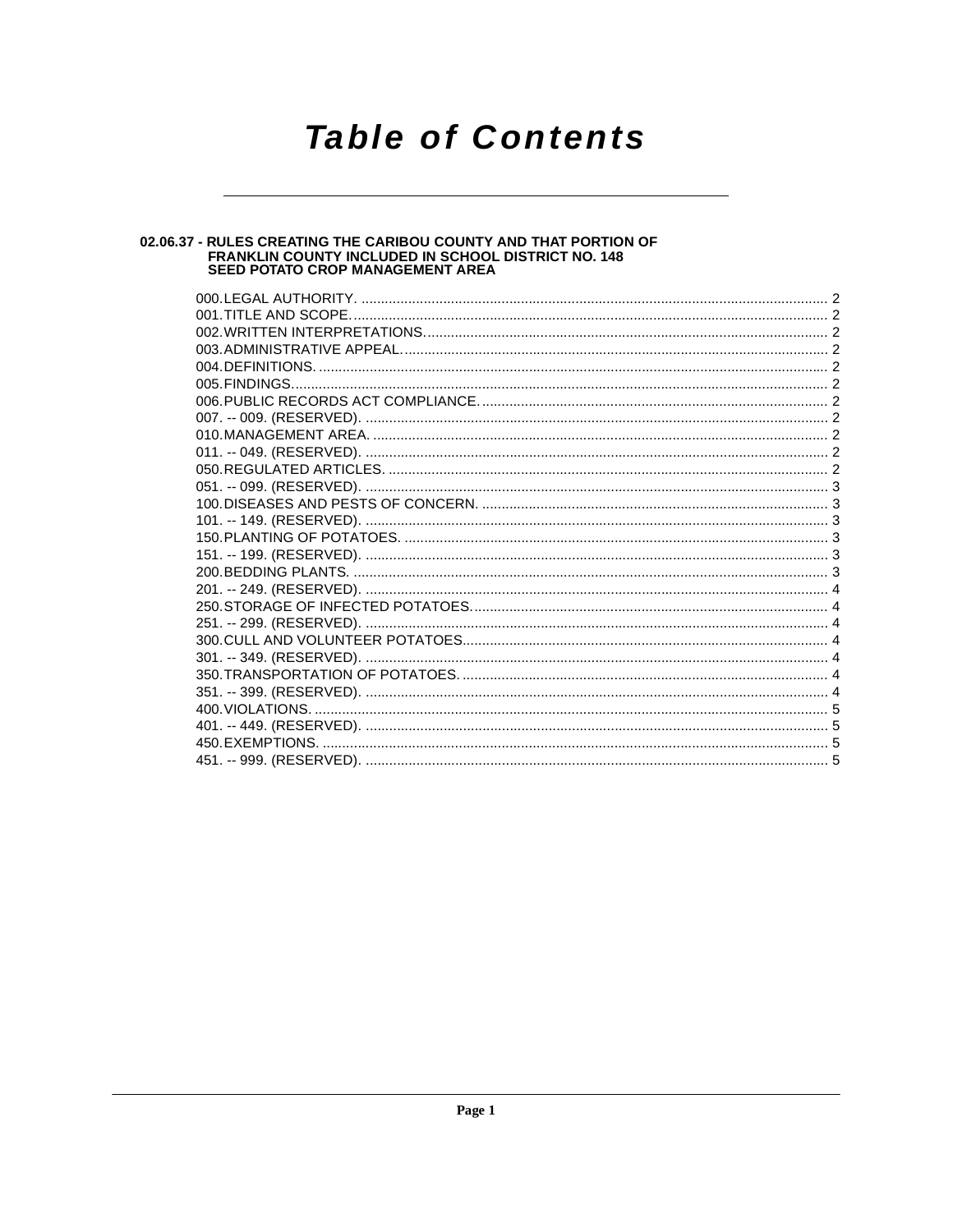### **Table of Contents**

# 02.06.37 - RULES CREATING THE CARIBOU COUNTY AND THAT PORTION OF<br>FRANKLIN COUNTY INCLUDED IN SCHOOL DISTRICT NO. 148<br>SEED POTATO CROP MANAGEMENT AREA

| 000.LEGAL AUTHORITY. |  |
|----------------------|--|
|                      |  |
|                      |  |
|                      |  |
|                      |  |
|                      |  |
|                      |  |
|                      |  |
|                      |  |
|                      |  |
|                      |  |
|                      |  |
|                      |  |
|                      |  |
|                      |  |
|                      |  |
|                      |  |
|                      |  |
|                      |  |
|                      |  |
|                      |  |
|                      |  |
|                      |  |
|                      |  |
|                      |  |
|                      |  |
|                      |  |
|                      |  |
|                      |  |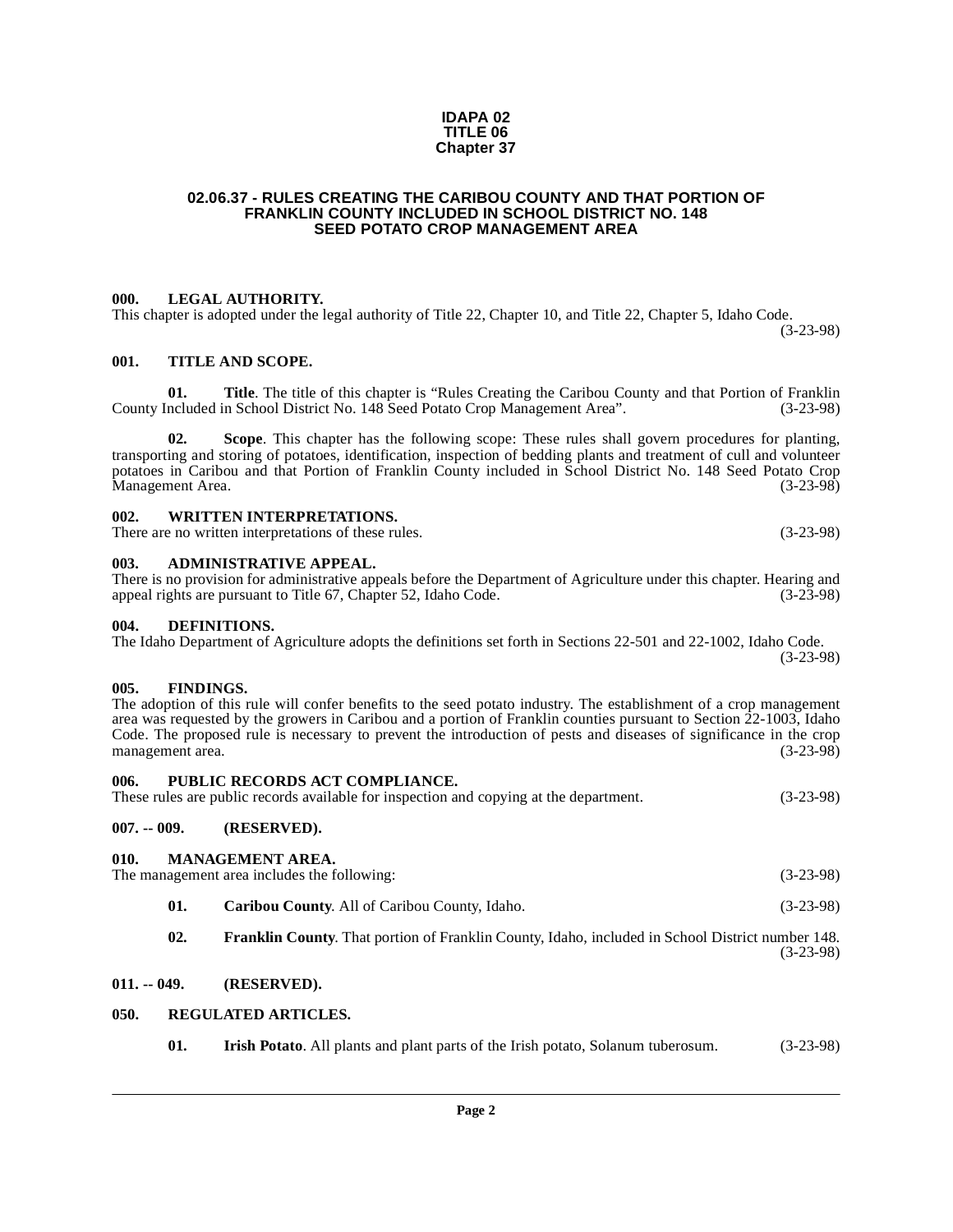#### **IDAPA 02 TITLE 06 Chapter 37**

#### <span id="page-1-0"></span>**02.06.37 - RULES CREATING THE CARIBOU COUNTY AND THAT PORTION OF FRANKLIN COUNTY INCLUDED IN SCHOOL DISTRICT NO. 148 SEED POTATO CROP MANAGEMENT AREA**

#### <span id="page-1-1"></span>**000. LEGAL AUTHORITY.**

This chapter is adopted under the legal authority of Title 22, Chapter 10, and Title 22, Chapter 5, Idaho Code. (3-23-98)

#### <span id="page-1-2"></span>**001. TITLE AND SCOPE.**

**01. Title**. The title of this chapter is "Rules Creating the Caribou County and that Portion of Franklin ncluded in School District No. 148 Seed Potato Crop Management Area". (3-23-98) County Included in School District No. 148 Seed Potato Crop Management Area".

**02. Scope**. This chapter has the following scope: These rules shall govern procedures for planting, transporting and storing of potatoes, identification, inspection of bedding plants and treatment of cull and volunteer potatoes in Caribou and that Portion of Franklin County included in School District No. 148 Seed Potato Crop Management Area.

#### <span id="page-1-3"></span>**002. WRITTEN INTERPRETATIONS.**

There are no written interpretations of these rules. (3-23-98)

#### <span id="page-1-4"></span>**003. ADMINISTRATIVE APPEAL.**

There is no provision for administrative appeals before the Department of Agriculture under this chapter. Hearing and appeal rights are pursuant to Title 67, Chapter 52, Idaho Code. (3-23-98)

#### <span id="page-1-13"></span><span id="page-1-5"></span>**004. DEFINITIONS.**

The Idaho Department of Agriculture adopts the definitions set forth in Sections 22-501 and 22-1002, Idaho Code. (3-23-98)

#### <span id="page-1-14"></span><span id="page-1-6"></span>**005. FINDINGS.**

The adoption of this rule will confer benefits to the seed potato industry. The establishment of a crop management area was requested by the growers in Caribou and a portion of Franklin counties pursuant to Section 22-1003, Idaho Code. The proposed rule is necessary to prevent the introduction of pests and diseases of significance in the crop management area. (3-23-98) management area.

#### <span id="page-1-18"></span><span id="page-1-7"></span>**006. PUBLIC RECORDS ACT COMPLIANCE.**

These rules are public records available for inspection and copying at the department. (3-23-98)

#### <span id="page-1-8"></span>**007. -- 009. (RESERVED).**

#### <span id="page-1-17"></span><span id="page-1-9"></span>**010. MANAGEMENT AREA.**

The management area includes the following: (3-23-98)

- <span id="page-1-12"></span>**01. Caribou County**. All of Caribou County, Idaho. (3-23-98)
- <span id="page-1-15"></span>**02. Franklin County**. That portion of Franklin County, Idaho, included in School District number 148. (3-23-98)

#### <span id="page-1-10"></span>**011. -- 049. (RESERVED).**

#### <span id="page-1-11"></span>**050. REGULATED ARTICLES.**

<span id="page-1-19"></span><span id="page-1-16"></span>**01. Irish Potato**. All plants and plant parts of the Irish potato, Solanum tuberosum. (3-23-98)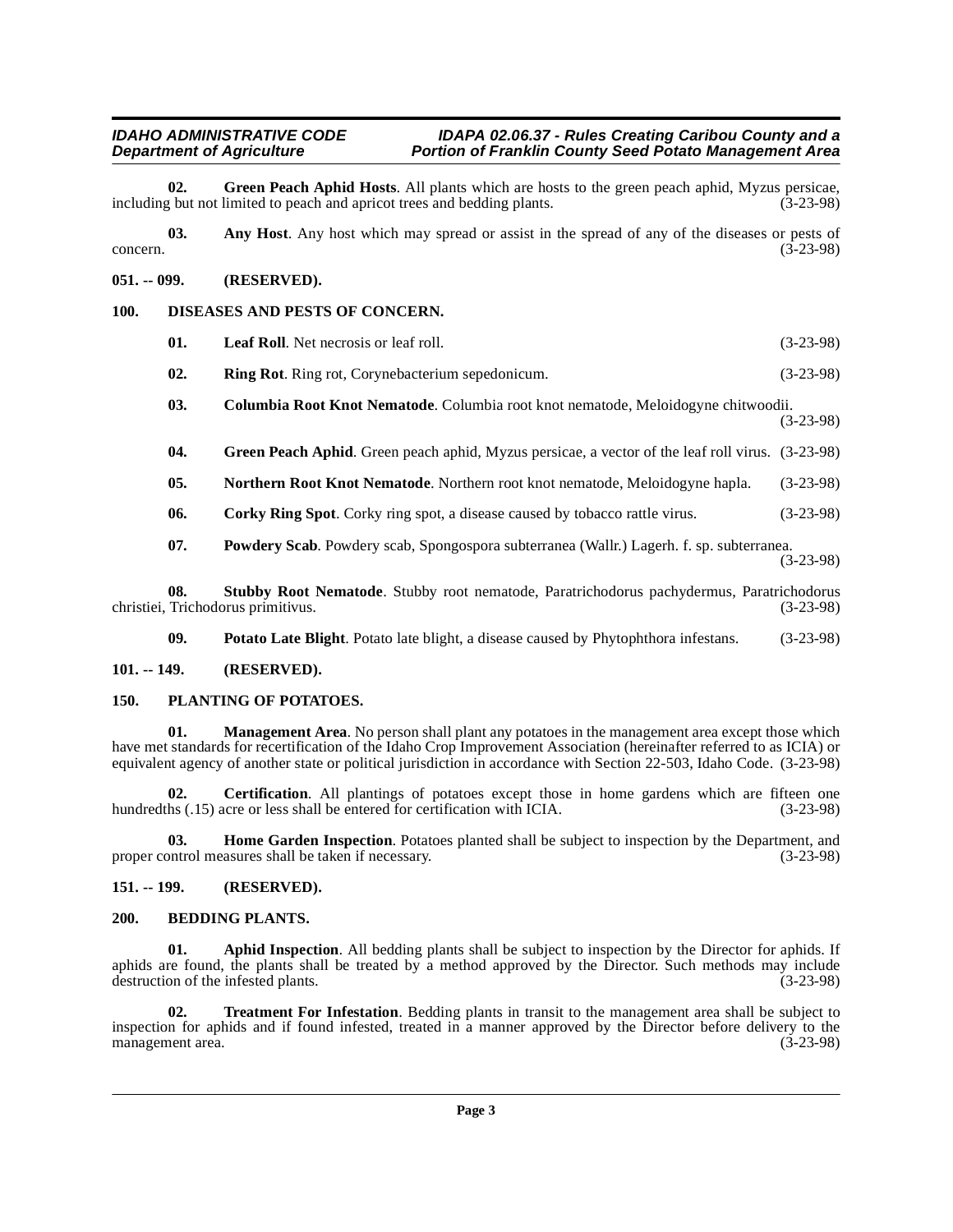#### **IDAHO ADMINISTRATIVE CODE**  IDAPA 02.06.37 - Rules Creating Caribou County and a<br>Department of Agriculture **Portion of Franklin County Seed Potato Management** Area **Portion of Franklin County Seed Potato Management Area**

<span id="page-2-14"></span>**02.** Green Peach Aphid Hosts. All plants which are hosts to the green peach aphid, Myzus persicae, but not limited to peach and apricot trees and bedding plants. (3-23-98) including but not limited to peach and apricot trees and bedding plants.

<span id="page-2-6"></span>**03. Any Host**. Any host which may spread or assist in the spread of any of the diseases or pests of  $\text{concern.}$  (3-23-98)

#### <span id="page-2-0"></span>**051. -- 099. (RESERVED).**

#### <span id="page-2-1"></span>**100. DISEASES AND PESTS OF CONCERN.**

<span id="page-2-22"></span><span id="page-2-16"></span><span id="page-2-12"></span><span id="page-2-10"></span>

| 01. | <b>Leaf Roll.</b> Net necrosis or leaf roll.                                                     | $(3-23-98)$ |
|-----|--------------------------------------------------------------------------------------------------|-------------|
| 02. | <b>Ring Rot.</b> Ring rot, Corynebacterium sepedonicum.                                          | $(3-23-98)$ |
| 03. | Columbia Root Knot Nematode. Columbia root knot nematode, Meloidogyne chitwoodii.                | $(3-23-98)$ |
| 04. | Green Peach Aphid. Green peach aphid, Myzus persicae, a vector of the leaf roll virus. (3-23-98) |             |
| 05. | <b>Northern Root Knot Nematode.</b> Northern root knot nematode, Meloidogyne hapla.              | $(3-23-98)$ |
|     |                                                                                                  |             |

<span id="page-2-18"></span><span id="page-2-13"></span><span id="page-2-11"></span>**06. Corky Ring Spot**. Corky ring spot, a disease caused by tobacco rattle virus. (3-23-98)

<span id="page-2-23"></span><span id="page-2-21"></span>**07. Powdery Scab**. Powdery scab, Spongospora subterranea (Wallr.) Lagerh. f. sp. subterranea. (3-23-98)

**08. Stubby Root Nematode**. Stubby root nematode, Paratrichodorus pachydermus, Paratrichodorus Trichodorus primitivus. (3-23-98) christiei, Trichodorus primitivus.

<span id="page-2-20"></span><span id="page-2-19"></span><span id="page-2-17"></span>**09. Potato Late Blight**. Potato late blight, a disease caused by Phytophthora infestans. (3-23-98)

#### <span id="page-2-2"></span>**101. -- 149. (RESERVED).**

#### <span id="page-2-3"></span>**150. PLANTING OF POTATOES.**

**01.** Management Area. No person shall plant any potatoes in the management area except those which have met standards for recertification of the Idaho Crop Improvement Association (hereinafter referred to as ICIA) or equivalent agency of another state or political jurisdiction in accordance with Section 22-503, Idaho Code. (3-23-98)

<span id="page-2-9"></span>**02.** Certification. All plantings of potatoes except those in home gardens which are fifteen one hundredths (.15) acre or less shall be entered for certification with ICIA. (3-23-98)

<span id="page-2-15"></span>**03. Home Garden Inspection**. Potatoes planted shall be subject to inspection by the Department, and ontrol measures shall be taken if necessary. (3-23-98) proper control measures shall be taken if necessary.

#### <span id="page-2-4"></span>**151. -- 199. (RESERVED).**

#### <span id="page-2-8"></span><span id="page-2-5"></span>**200. BEDDING PLANTS.**

<span id="page-2-7"></span>Aphid Inspection. All bedding plants shall be subject to inspection by the Director for aphids. If aphids are found, the plants shall be treated by a method approved by the Director. Such methods may include destruction of the infested plants. (3-23-98)

<span id="page-2-24"></span>**02. Treatment For Infestation**. Bedding plants in transit to the management area shall be subject to inspection for aphids and if found infested, treated in a manner approved by the Director before delivery to the management area. (3-23-98) management area.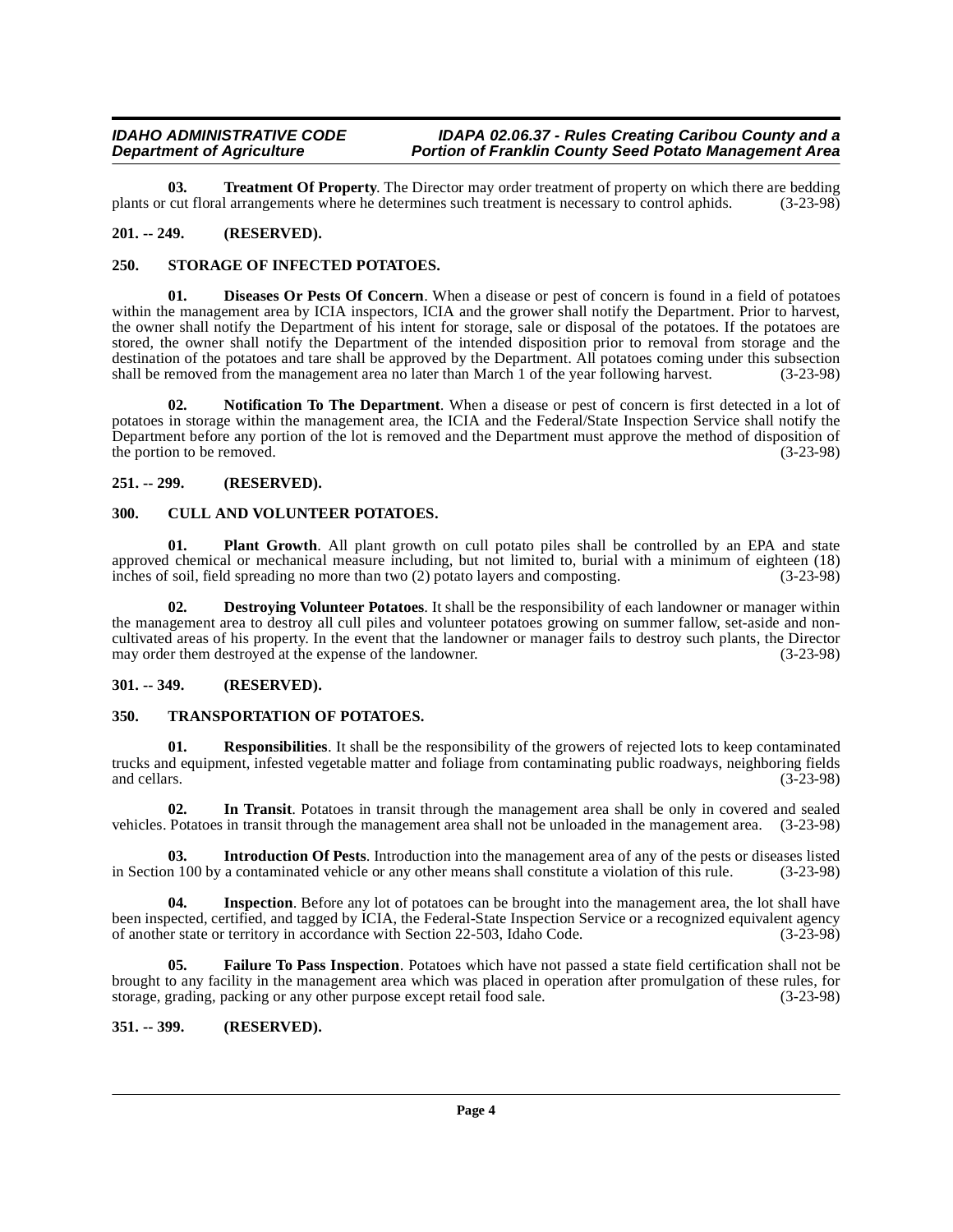#### **IDAHO ADMINISTRATIVE CODE**  IDAPA 02.06.37 - Rules Creating Caribou County and a<br>Department of Agriculture **Portion of Franklin County Seed Potato Management** Area **Portion of Franklin County Seed Potato Management Area**

<span id="page-3-19"></span>**03. Treatment Of Property**. The Director may order treatment of property on which there are bedding cut floral arrangements where he determines such treatment is necessary to control aphids. (3-23-98) plants or cut floral arrangements where he determines such treatment is necessary to control aphids.

#### <span id="page-3-0"></span>**201. -- 249. (RESERVED).**

#### <span id="page-3-17"></span><span id="page-3-1"></span>**250. STORAGE OF INFECTED POTATOES.**

<span id="page-3-9"></span>**01. Diseases Or Pests Of Concern**. When a disease or pest of concern is found in a field of potatoes within the management area by ICIA inspectors, ICIA and the grower shall notify the Department. Prior to harvest, the owner shall notify the Department of his intent for storage, sale or disposal of the potatoes. If the potatoes are stored, the owner shall notify the Department of the intended disposition prior to removal from storage and the destination of the potatoes and tare shall be approved by the Department. All potatoes coming under this subsection shall be removed from the management area no later than March 1 of the vear following harvest. (3-23-98) shall be removed from the management area no later than March 1 of the year following harvest.

<span id="page-3-14"></span>**02. Notification To The Department**. When a disease or pest of concern is first detected in a lot of potatoes in storage within the management area, the ICIA and the Federal/State Inspection Service shall notify the Department before any portion of the lot is removed and the Department must approve the method of disposition of the portion to be removed. (3-23-98)

#### <span id="page-3-2"></span>**251. -- 299. (RESERVED).**

#### <span id="page-3-7"></span><span id="page-3-3"></span>**300. CULL AND VOLUNTEER POTATOES.**

<span id="page-3-15"></span>**01. Plant Growth**. All plant growth on cull potato piles shall be controlled by an EPA and state approved chemical or mechanical measure including, but not limited to, burial with a minimum of eighteen (18) inches of soil, field spreading no more than two (2) potato layers and composting. (3-23-98) inches of soil, field spreading no more than two  $(2)$  potato layers and composting.

<span id="page-3-8"></span>**02. Destroying Volunteer Potatoes**. It shall be the responsibility of each landowner or manager within the management area to destroy all cull piles and volunteer potatoes growing on summer fallow, set-aside and noncultivated areas of his property. In the event that the landowner or manager fails to destroy such plants, the Director may order them destroyed at the expense of the landowner.

#### <span id="page-3-4"></span>**301. -- 349. (RESERVED).**

#### <span id="page-3-18"></span><span id="page-3-5"></span>**350. TRANSPORTATION OF POTATOES.**

<span id="page-3-16"></span>**Responsibilities**. It shall be the responsibility of the growers of rejected lots to keep contaminated trucks and equipment, infested vegetable matter and foliage from contaminating public roadways, neighboring fields and cellars. (3-23-98) and cellars. (3-23-98)

<span id="page-3-11"></span>**02. In Transit**. Potatoes in transit through the management area shall be only in covered and sealed vehicles. Potatoes in transit through the management area shall not be unloaded in the management area. (3-23-98)

<span id="page-3-13"></span>**03.** Introduction Of Pests. Introduction into the management area of any of the pests or diseases listed n 100 by a contaminated vehicle or any other means shall constitute a violation of this rule. (3-23-98) in Section 100 by a contaminated vehicle or any other means shall constitute a violation of this rule.

<span id="page-3-12"></span>**04.** Inspection. Before any lot of potatoes can be brought into the management area, the lot shall have been inspected, certified, and tagged by ICIA, the Federal-State Inspection Service or a recognized equivalent agency of another state or territory in accordance with Section 22-503, Idaho Code. (3-23-98) of another state or territory in accordance with Section 22-503, Idaho Code.

<span id="page-3-10"></span>**05. Failure To Pass Inspection**. Potatoes which have not passed a state field certification shall not be brought to any facility in the management area which was placed in operation after promulgation of these rules, for storage, grading, packing or any other purpose except retail food sale. (3-23-98)

#### <span id="page-3-6"></span>**351. -- 399. (RESERVED).**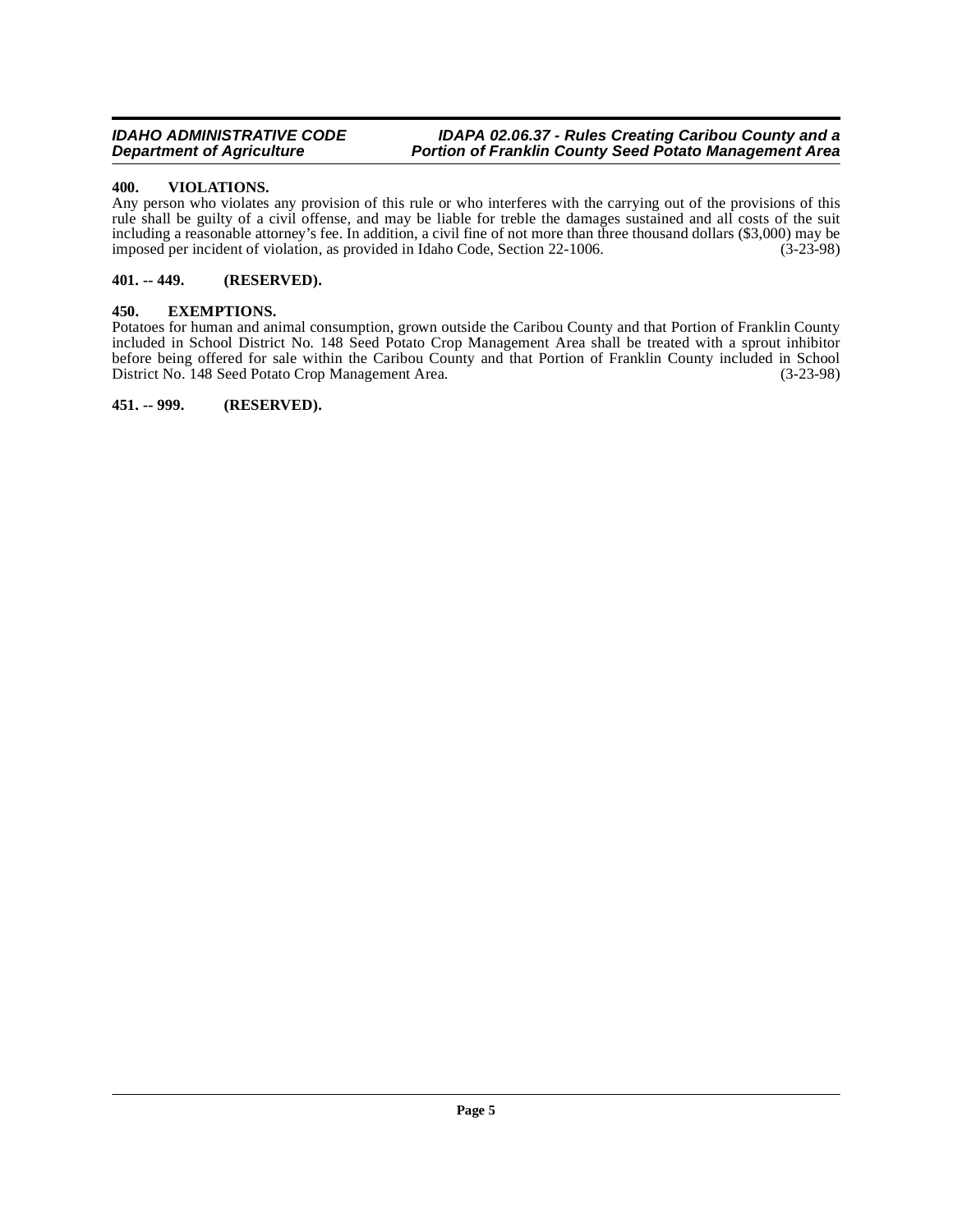#### **IDAHO ADMINISTRATIVE CODE**  IDAPA 02.06.37 - Rules Creating Caribou County and a **Department of Agriculture Portion of Franklin County Seed Potato Management Area**

#### <span id="page-4-5"></span><span id="page-4-0"></span>**400. VIOLATIONS.**

Any person who violates any provision of this rule or who interferes with the carrying out of the provisions of this rule shall be guilty of a civil offense, and may be liable for treble the damages sustained and all costs of the suit including a reasonable attorney's fee. In addition, a civil fine of not more than three thousand dollars (\$3,000) may be imposed per incident of violation, as provided in Idaho Code, Section 22-1006. (3-23-98)

#### <span id="page-4-1"></span>**401. -- 449. (RESERVED).**

#### <span id="page-4-4"></span><span id="page-4-2"></span>**450. EXEMPTIONS.**

Potatoes for human and animal consumption, grown outside the Caribou County and that Portion of Franklin County included in School District No. 148 Seed Potato Crop Management Area shall be treated with a sprout inhibitor before being offered for sale within the Caribou County and that Portion of Franklin County included in School<br>District No. 148 Seed Potato Crop Management Area. (3-23-98) District No. 148 Seed Potato Crop Management Area.

<span id="page-4-3"></span>**451. -- 999. (RESERVED).**